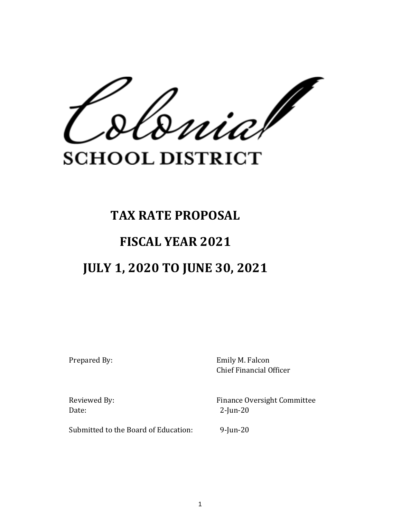uia/

## **SCHOOL DISTRICT**

# **TAX RATE PROPOSAL FISCAL YEAR 2021**

### **JULY 1, 2020 TO JUNE 30, 2021**

Prepared By: Emily M. Falcon Chief Financial Officer

Date: 2-Jun-20

Reviewed By: Finance Oversight Committee

Submitted to the Board of Education: 9-Jun-20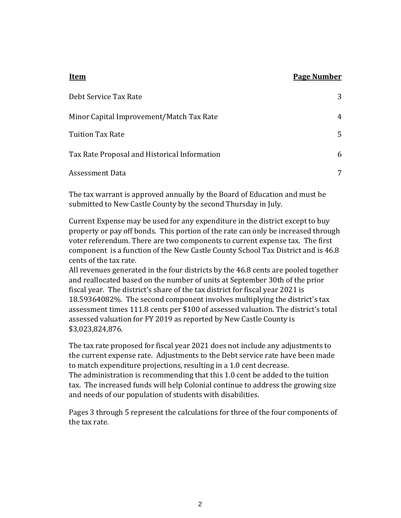#### **Item Page Number**

| Debt Service Tax Rate                        | 3 |
|----------------------------------------------|---|
| Minor Capital Improvement/Match Tax Rate     | 4 |
| Tuition Tax Rate                             | 5 |
| Tax Rate Proposal and Historical Information | 6 |
| Assessment Data                              | 7 |
|                                              |   |

The tax warrant is approved annually by the Board of Education and must be submitted to New Castle County by the second Thursday in July.

Current Expense may be used for any expenditure in the district except to buy property or pay off bonds. This portion of the rate can only be increased through voter referendum. There are two components to current expense tax. The first component is a function of the New Castle County School Tax District and is 46.8 cents of the tax rate.

All revenues generated in the four districts by the 46.8 cents are pooled together and reallocated based on the number of units at September 30th of the prior fiscal year. The district's share of the tax district for fiscal year 2021 is 18.59364082%. The second component involves multiplying the district's tax assessment times 111.8 cents per \$100 of assessed valuation. The district's total assessed valuation for FY 2019 as reported by New Castle County is \$3,023,824,876.

The tax rate proposed for fiscal year 2021 does not include any adjustments to the current expense rate. Adjustments to the Debt service rate have been made to match expenditure projections, resulting in a 1.0 cent decrease. The administration is recommending that this 1.0 cent be added to the tuition tax. The increased funds will help Colonial continue to address the growing size and needs of our population of students with disabilities.

Pages 3 through 5 represent the calculations for three of the four components of the tax rate.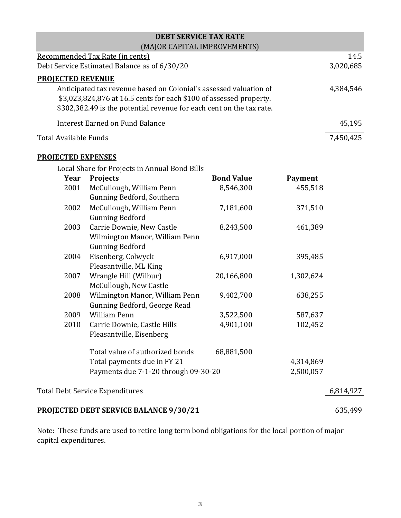| <b>DEBT SERVICE TAX RATE</b>                                                                                                                                                                                    |           |
|-----------------------------------------------------------------------------------------------------------------------------------------------------------------------------------------------------------------|-----------|
| (MAJOR CAPITAL IMPROVEMENTS)                                                                                                                                                                                    |           |
| Recommended Tax Rate (in cents)                                                                                                                                                                                 | 14.5      |
| Debt Service Estimated Balance as of 6/30/20                                                                                                                                                                    | 3,020,685 |
| <b>PROJECTED REVENUE</b>                                                                                                                                                                                        |           |
| Anticipated tax revenue based on Colonial's assessed valuation of<br>\$3,023,824,876 at 16.5 cents for each \$100 of assessed property.<br>\$302,382.49 is the potential revenue for each cent on the tax rate. | 4,384,546 |
| Interest Earned on Fund Balance                                                                                                                                                                                 | 45,195    |
| Total Available Funds                                                                                                                                                                                           | 7,450,425 |

#### **PROJECTED EXPENSES**

Local Share for Projects in Annual Bond Bills

| Year | <b>Projects</b>                        | <b>Bond Value</b> | <b>Payment</b> |           |
|------|----------------------------------------|-------------------|----------------|-----------|
| 2001 | McCullough, William Penn               | 8,546,300         | 455,518        |           |
|      | Gunning Bedford, Southern              |                   |                |           |
| 2002 | McCullough, William Penn               | 7,181,600         | 371,510        |           |
|      | <b>Gunning Bedford</b>                 |                   |                |           |
| 2003 | Carrie Downie, New Castle              | 8,243,500         | 461,389        |           |
|      | Wilmington Manor, William Penn         |                   |                |           |
|      | <b>Gunning Bedford</b>                 |                   |                |           |
| 2004 | Eisenberg, Colwyck                     | 6,917,000         | 395,485        |           |
|      | Pleasantville, ML King                 |                   |                |           |
| 2007 | Wrangle Hill (Wilbur)                  | 20,166,800        | 1,302,624      |           |
|      | McCullough, New Castle                 |                   |                |           |
| 2008 | Wilmington Manor, William Penn         | 9,402,700         | 638,255        |           |
|      | Gunning Bedford, George Read           |                   |                |           |
| 2009 | William Penn                           | 3,522,500         | 587,637        |           |
| 2010 | Carrie Downie, Castle Hills            | 4,901,100         | 102,452        |           |
|      | Pleasantville, Eisenberg               |                   |                |           |
|      | Total value of authorized bonds        | 68,881,500        |                |           |
|      | Total payments due in FY 21            |                   | 4,314,869      |           |
|      | Payments due 7-1-20 through 09-30-20   | 2,500,057         |                |           |
|      |                                        |                   |                | 6,814,927 |
|      | <b>Total Debt Service Expenditures</b> |                   |                |           |

#### PROJECTED DEBT SERVICE BALANCE 9/30/21 635,499

Note: These funds are used to retire long term bond obligations for the local portion of major capital expenditures.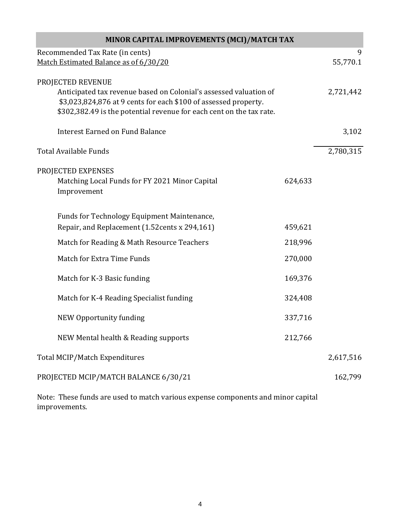| MINOR CAPITAL IMPROVEMENTS (MCI)/MATCH TAX                                                                                                                                                                                        |         |               |  |  |
|-----------------------------------------------------------------------------------------------------------------------------------------------------------------------------------------------------------------------------------|---------|---------------|--|--|
| Recommended Tax Rate (in cents)<br>Match Estimated Balance as of 6/30/20                                                                                                                                                          |         | 9<br>55,770.1 |  |  |
| PROJECTED REVENUE<br>Anticipated tax revenue based on Colonial's assessed valuation of<br>\$3,023,824,876 at 9 cents for each \$100 of assessed property.<br>\$302,382.49 is the potential revenue for each cent on the tax rate. |         | 2,721,442     |  |  |
| <b>Interest Earned on Fund Balance</b>                                                                                                                                                                                            |         | 3,102         |  |  |
| <b>Total Available Funds</b>                                                                                                                                                                                                      |         | 2,780,315     |  |  |
| PROJECTED EXPENSES<br>Matching Local Funds for FY 2021 Minor Capital<br>Improvement                                                                                                                                               | 624,633 |               |  |  |
| Funds for Technology Equipment Maintenance,<br>Repair, and Replacement (1.52 cents x 294, 161)                                                                                                                                    | 459,621 |               |  |  |
| Match for Reading & Math Resource Teachers                                                                                                                                                                                        | 218,996 |               |  |  |
| Match for Extra Time Funds                                                                                                                                                                                                        | 270,000 |               |  |  |
| Match for K-3 Basic funding                                                                                                                                                                                                       | 169,376 |               |  |  |
| Match for K-4 Reading Specialist funding                                                                                                                                                                                          | 324,408 |               |  |  |
| <b>NEW Opportunity funding</b>                                                                                                                                                                                                    | 337,716 |               |  |  |
| NEW Mental health & Reading supports                                                                                                                                                                                              | 212,766 |               |  |  |
| Total MCIP/Match Expenditures                                                                                                                                                                                                     |         | 2,617,516     |  |  |
| PROJECTED MCIP/MATCH BALANCE 6/30/21                                                                                                                                                                                              |         | 162,799       |  |  |

Note: These funds are used to match various expense components and minor capital improvements.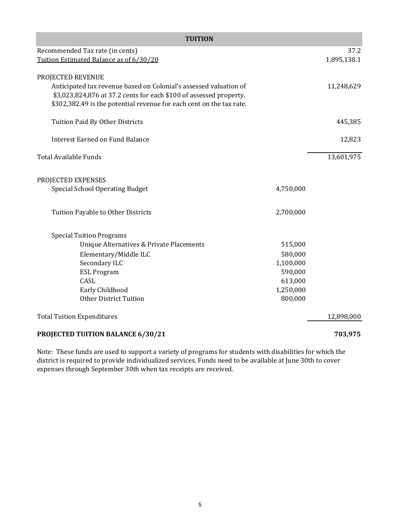| <b>TUITION</b>                                                       |           |             |  |  |
|----------------------------------------------------------------------|-----------|-------------|--|--|
| Recommended Tax rate (in cents)                                      |           | 37.2        |  |  |
| Tuition Estimated Balance as of 6/30/20                              |           | 1,895,138.1 |  |  |
| PROJECTED REVENUE                                                    |           |             |  |  |
| Anticipated tax revenue based on Colonial's assessed valuation of    |           | 11,248,629  |  |  |
| \$3,023,824,876 at 37.2 cents for each \$100 of assessed property.   |           |             |  |  |
| \$302,382.49 is the potential revenue for each cent on the tax rate. |           |             |  |  |
| Tuition Paid By Other Districts                                      |           | 445,385     |  |  |
|                                                                      |           |             |  |  |
| <b>Interest Earned on Fund Balance</b>                               |           | 12,823      |  |  |
| <b>Total Available Funds</b>                                         |           | 13,601,975  |  |  |
| PROJECTED EXPENSES                                                   |           |             |  |  |
| <b>Special School Operating Budget</b>                               | 4,750,000 |             |  |  |
| Tuition Payable to Other Districts                                   | 2,700,000 |             |  |  |
| <b>Special Tuition Programs</b>                                      |           |             |  |  |
| Unique Alternatives & Private Placements                             | 515,000   |             |  |  |
| Elementary/Middle ILC                                                | 580,000   |             |  |  |
| Secondary ILC                                                        | 1,100,000 |             |  |  |
| <b>ESL Program</b>                                                   | 590,000   |             |  |  |
| CASL                                                                 | 613,000   |             |  |  |
| Early Childhood                                                      | 1,250,000 |             |  |  |
| <b>Other District Tuition</b>                                        | 800,000   |             |  |  |
| <b>Total Tuition Expenditures</b>                                    |           | 12,898,000  |  |  |
| PROJECTED TUITION BALANCE 6/30/21                                    |           | 703,975     |  |  |
|                                                                      |           |             |  |  |

Note: These funds are used to support a variety of programs for students with disabilities for which the district is required to provide individualized services. Funds need to be available at June 30th to cover expenses through September 30th when tax receipts are received.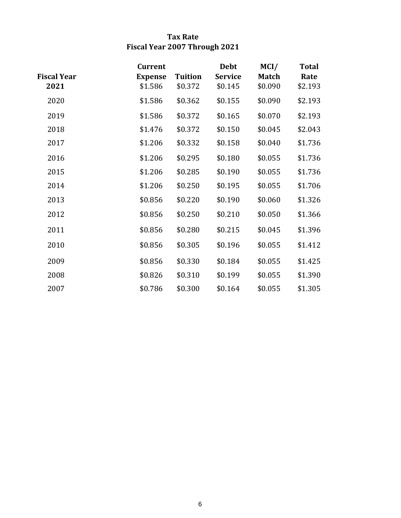#### **Tax Rate Fiscal Year 2007 Through 2021**

| <b>Fiscal Year</b><br>2021 | <b>Current</b><br><b>Expense</b><br>\$1.586 | <b>Tuition</b><br>\$0.372 | <b>Debt</b><br><b>Service</b><br>\$0.145 | MCI/<br><b>Match</b><br>\$0.090 | <b>Total</b><br>Rate<br>\$2.193 |
|----------------------------|---------------------------------------------|---------------------------|------------------------------------------|---------------------------------|---------------------------------|
| 2020                       | \$1.586                                     | \$0.362                   | \$0.155                                  | \$0.090                         | \$2.193                         |
| 2019                       | \$1.586                                     | \$0.372                   | \$0.165                                  | \$0.070                         | \$2.193                         |
| 2018                       | \$1.476                                     | \$0.372                   | \$0.150                                  | \$0.045                         | \$2.043                         |
| 2017                       | \$1.206                                     | \$0.332                   | \$0.158                                  | \$0.040                         | \$1.736                         |
| 2016                       | \$1.206                                     | \$0.295                   | \$0.180                                  | \$0.055                         | \$1.736                         |
| 2015                       | \$1.206                                     | \$0.285                   | \$0.190                                  | \$0.055                         | \$1.736                         |
| 2014                       | \$1.206                                     | \$0.250                   | \$0.195                                  | \$0.055                         | \$1.706                         |
| 2013                       | \$0.856                                     | \$0.220                   | \$0.190                                  | \$0.060                         | \$1.326                         |
| 2012                       | \$0.856                                     | \$0.250                   | \$0.210                                  | \$0.050                         | \$1.366                         |
| 2011                       | \$0.856                                     | \$0.280                   | \$0.215                                  | \$0.045                         | \$1.396                         |
| 2010                       | \$0.856                                     | \$0.305                   | \$0.196                                  | \$0.055                         | \$1.412                         |
| 2009                       | \$0.856                                     | \$0.330                   | \$0.184                                  | \$0.055                         | \$1.425                         |
| 2008                       | \$0.826                                     | \$0.310                   | \$0.199                                  | \$0.055                         | \$1.390                         |
| 2007                       | \$0.786                                     | \$0.300                   | \$0.164                                  | \$0.055                         | \$1.305                         |